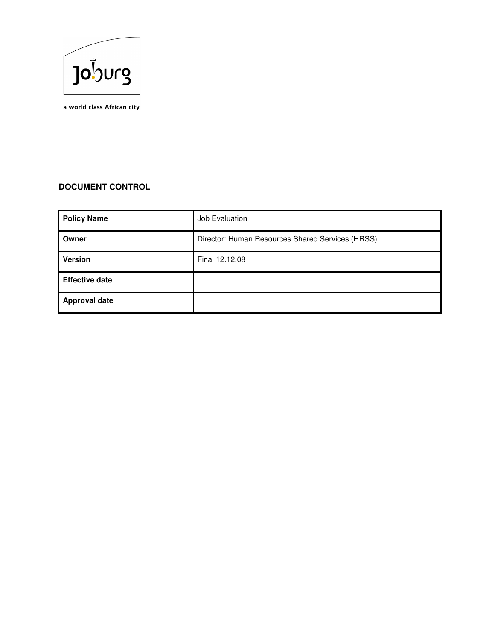

a world class African city

# **DOCUMENT CONTROL**

| <b>Policy Name</b>    | Job Evaluation                                   |
|-----------------------|--------------------------------------------------|
| Owner                 | Director: Human Resources Shared Services (HRSS) |
| <b>Version</b>        | Final 12.12.08                                   |
| <b>Effective date</b> |                                                  |
| <b>Approval date</b>  |                                                  |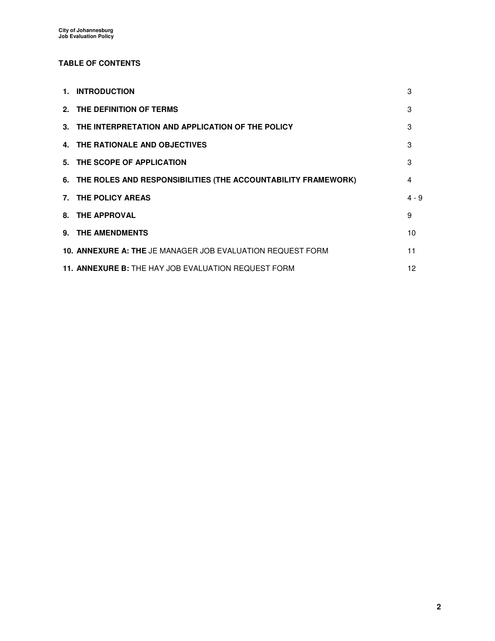## **TABLE OF CONTENTS**

| 1. INTRODUCTION                                                   | 3       |
|-------------------------------------------------------------------|---------|
| 2. THE DEFINITION OF TERMS                                        | 3       |
| 3. THE INTERPRETATION AND APPLICATION OF THE POLICY               | 3       |
| 4. THE RATIONALE AND OBJECTIVES                                   | 3       |
| 5. THE SCOPE OF APPLICATION                                       | 3       |
| 6. THE ROLES AND RESPONSIBILITIES (THE ACCOUNTABILITY FRAMEWORK)  | 4       |
| 7. THE POLICY AREAS                                               | $4 - 9$ |
| 8. THE APPROVAL                                                   | 9       |
| 9. THE AMENDMENTS                                                 | 10      |
| <b>10. ANNEXURE A: THE JE MANAGER JOB EVALUATION REQUEST FORM</b> | 11      |
| 11. ANNEXURE B: THE HAY JOB EVALUATION REQUEST FORM               | 12      |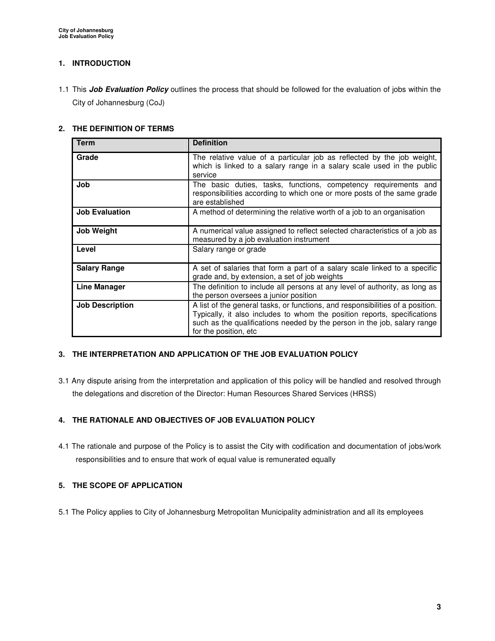## **1. INTRODUCTION**

1.1 This **Job Evaluation Policy** outlines the process that should be followed for the evaluation of jobs within the City of Johannesburg (CoJ)

#### **2. THE DEFINITION OF TERMS**

| <b>Term</b>            | <b>Definition</b>                                                                                                                                                                                                                                               |
|------------------------|-----------------------------------------------------------------------------------------------------------------------------------------------------------------------------------------------------------------------------------------------------------------|
| Grade                  | The relative value of a particular job as reflected by the job weight,<br>which is linked to a salary range in a salary scale used in the public<br>service                                                                                                     |
| Job                    | The basic duties, tasks, functions, competency requirements and<br>responsibilities according to which one or more posts of the same grade<br>are established                                                                                                   |
| <b>Job Evaluation</b>  | A method of determining the relative worth of a job to an organisation                                                                                                                                                                                          |
| <b>Job Weight</b>      | A numerical value assigned to reflect selected characteristics of a job as<br>measured by a job evaluation instrument                                                                                                                                           |
| Level                  | Salary range or grade                                                                                                                                                                                                                                           |
| <b>Salary Range</b>    | A set of salaries that form a part of a salary scale linked to a specific<br>grade and, by extension, a set of job weights                                                                                                                                      |
| <b>Line Manager</b>    | The definition to include all persons at any level of authority, as long as<br>the person oversees a junior position                                                                                                                                            |
| <b>Job Description</b> | A list of the general tasks, or functions, and responsibilities of a position.<br>Typically, it also includes to whom the position reports, specifications<br>such as the qualifications needed by the person in the job, salary range<br>for the position, etc |

## **3. THE INTERPRETATION AND APPLICATION OF THE JOB EVALUATION POLICY**

3.1 Any dispute arising from the interpretation and application of this policy will be handled and resolved through the delegations and discretion of the Director: Human Resources Shared Services (HRSS)

## **4. THE RATIONALE AND OBJECTIVES OF JOB EVALUATION POLICY**

4.1 The rationale and purpose of the Policy is to assist the City with codification and documentation of jobs/work responsibilities and to ensure that work of equal value is remunerated equally

#### **5. THE SCOPE OF APPLICATION**

5.1 The Policy applies to City of Johannesburg Metropolitan Municipality administration and all its employees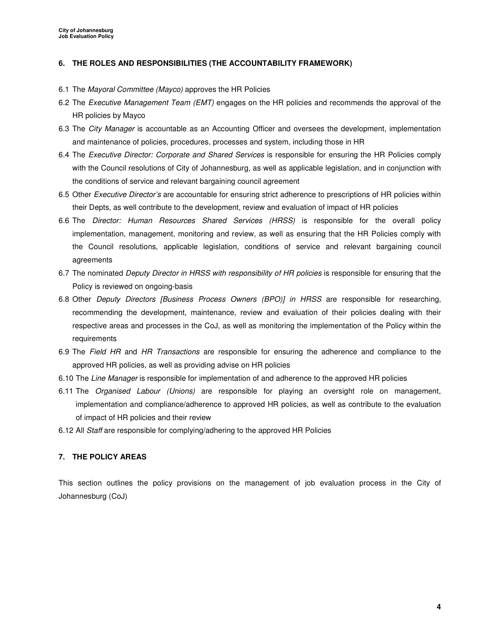#### **6. THE ROLES AND RESPONSIBILITIES (THE ACCOUNTABILITY FRAMEWORK)**

- 6.1 The Mayoral Committee (Mayco) approves the HR Policies
- 6.2 The Executive Management Team (EMT) engages on the HR policies and recommends the approval of the HR policies by Mayco
- 6.3 The City Manager is accountable as an Accounting Officer and oversees the development, implementation and maintenance of policies, procedures, processes and system, including those in HR
- 6.4 The Executive Director: Corporate and Shared Services is responsible for ensuring the HR Policies comply with the Council resolutions of City of Johannesburg, as well as applicable legislation, and in conjunction with the conditions of service and relevant bargaining council agreement
- 6.5 Other Executive Director's are accountable for ensuring strict adherence to prescriptions of HR policies within their Depts, as well contribute to the development, review and evaluation of impact of HR policies
- 6.6 The Director: Human Resources Shared Services (HRSS) is responsible for the overall policy implementation, management, monitoring and review, as well as ensuring that the HR Policies comply with the Council resolutions, applicable legislation, conditions of service and relevant bargaining council agreements
- 6.7 The nominated Deputy Director in HRSS with responsibility of HR policies is responsible for ensuring that the Policy is reviewed on ongoing-basis
- 6.8 Other Deputy Directors [Business Process Owners (BPO)] in HRSS are responsible for researching, recommending the development, maintenance, review and evaluation of their policies dealing with their respective areas and processes in the CoJ, as well as monitoring the implementation of the Policy within the requirements
- 6.9 The Field HR and HR Transactions are responsible for ensuring the adherence and compliance to the approved HR policies, as well as providing advise on HR policies
- 6.10 The Line Manager is responsible for implementation of and adherence to the approved HR policies
- 6.11 The Organised Labour (Unions) are responsible for playing an oversight role on management, implementation and compliance/adherence to approved HR policies, as well as contribute to the evaluation of impact of HR policies and their review
- 6.12 All Staff are responsible for complying/adhering to the approved HR Policies

#### **7. THE POLICY AREAS**

This section outlines the policy provisions on the management of job evaluation process in the City of Johannesburg (CoJ)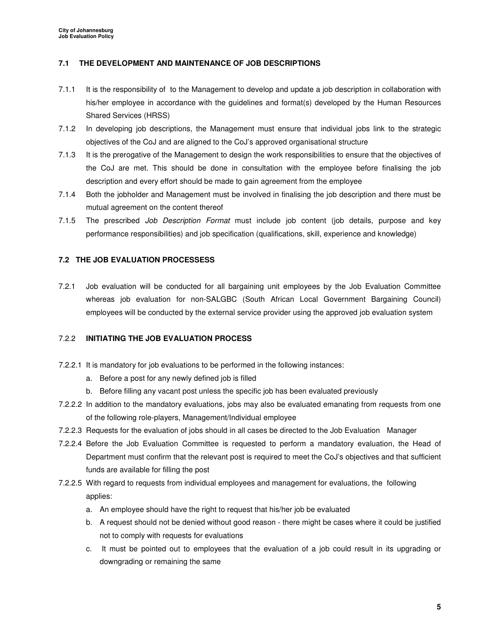### **7.1 THE DEVELOPMENT AND MAINTENANCE OF JOB DESCRIPTIONS**

- 7.1.1 It is the responsibility of to the Management to develop and update a job description in collaboration with his/her employee in accordance with the guidelines and format(s) developed by the Human Resources Shared Services (HRSS)
- 7.1.2 In developing job descriptions, the Management must ensure that individual jobs link to the strategic objectives of the CoJ and are aligned to the CoJ's approved organisational structure
- 7.1.3 It is the prerogative of the Management to design the work responsibilities to ensure that the objectives of the CoJ are met. This should be done in consultation with the employee before finalising the job description and every effort should be made to gain agreement from the employee
- 7.1.4 Both the jobholder and Management must be involved in finalising the job description and there must be mutual agreement on the content thereof
- 7.1.5 The prescribed *Job Description Format* must include job content (job details, purpose and key performance responsibilities) and job specification (qualifications, skill, experience and knowledge)

#### **7.2 THE JOB EVALUATION PROCESSESS**

7.2.1 Job evaluation will be conducted for all bargaining unit employees by the Job Evaluation Committee whereas job evaluation for non-SALGBC (South African Local Government Bargaining Council) employees will be conducted by the external service provider using the approved job evaluation system

#### 7.2.2 **INITIATING THE JOB EVALUATION PROCESS**

- 7.2.2.1 It is mandatory for job evaluations to be performed in the following instances:
	- a. Before a post for any newly defined job is filled
	- b. Before filling any vacant post unless the specific job has been evaluated previously
- 7.2.2.2 In addition to the mandatory evaluations, jobs may also be evaluated emanating from requests from one of the following role-players, Management/Individual employee
- 7.2.2.3 Requests for the evaluation of jobs should in all cases be directed to the Job Evaluation Manager
- 7.2.2.4 Before the Job Evaluation Committee is requested to perform a mandatory evaluation, the Head of Department must confirm that the relevant post is required to meet the CoJ's objectives and that sufficient funds are available for filling the post
- 7.2.2.5 With regard to requests from individual employees and management for evaluations, the following applies:
	- a. An employee should have the right to request that his/her job be evaluated
	- b. A request should not be denied without good reason there might be cases where it could be justified not to comply with requests for evaluations
	- c. It must be pointed out to employees that the evaluation of a job could result in its upgrading or downgrading or remaining the same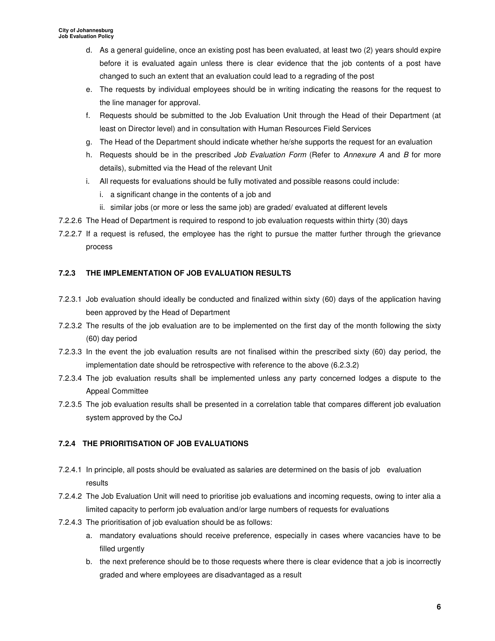- d. As a general guideline, once an existing post has been evaluated, at least two (2) years should expire before it is evaluated again unless there is clear evidence that the job contents of a post have changed to such an extent that an evaluation could lead to a regrading of the post
- e. The requests by individual employees should be in writing indicating the reasons for the request to the line manager for approval.
- f. Requests should be submitted to the Job Evaluation Unit through the Head of their Department (at least on Director level) and in consultation with Human Resources Field Services
- g. The Head of the Department should indicate whether he/she supports the request for an evaluation
- h. Requests should be in the prescribed Job Evaluation Form (Refer to Annexure A and B for more details), submitted via the Head of the relevant Unit
- i. All requests for evaluations should be fully motivated and possible reasons could include:
	- i. a significant change in the contents of a job and
	- ii. similar jobs (or more or less the same job) are graded/ evaluated at different levels
- 7.2.2.6 The Head of Department is required to respond to job evaluation requests within thirty (30) days
- 7.2.2.7 If a request is refused, the employee has the right to pursue the matter further through the grievance process

## **7.2.3 THE IMPLEMENTATION OF JOB EVALUATION RESULTS**

- 7.2.3.1 Job evaluation should ideally be conducted and finalized within sixty (60) days of the application having been approved by the Head of Department
- 7.2.3.2 The results of the job evaluation are to be implemented on the first day of the month following the sixty (60) day period
- 7.2.3.3 In the event the job evaluation results are not finalised within the prescribed sixty (60) day period, the implementation date should be retrospective with reference to the above (6.2.3.2)
- 7.2.3.4 The job evaluation results shall be implemented unless any party concerned lodges a dispute to the Appeal Committee
- 7.2.3.5 The job evaluation results shall be presented in a correlation table that compares different job evaluation system approved by the CoJ

## **7.2.4 THE PRIORITISATION OF JOB EVALUATIONS**

- 7.2.4.1 In principle, all posts should be evaluated as salaries are determined on the basis of job evaluation results
- 7.2.4.2 The Job Evaluation Unit will need to prioritise job evaluations and incoming requests, owing to inter alia a limited capacity to perform job evaluation and/or large numbers of requests for evaluations
- 7.2.4.3 The prioritisation of job evaluation should be as follows:
	- a. mandatory evaluations should receive preference, especially in cases where vacancies have to be filled urgently
	- b. the next preference should be to those requests where there is clear evidence that a job is incorrectly graded and where employees are disadvantaged as a result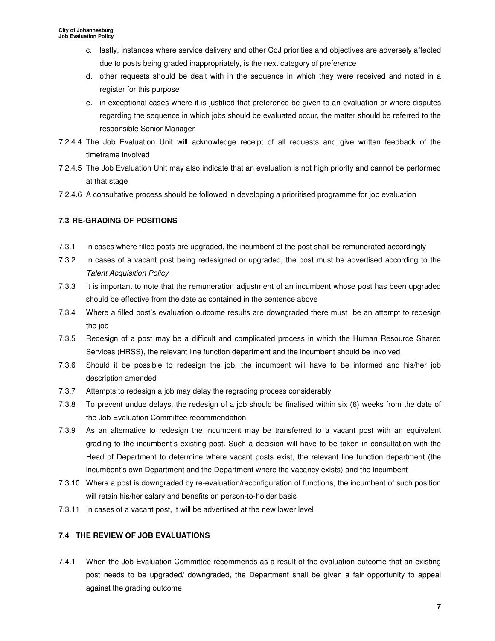- c. lastly, instances where service delivery and other CoJ priorities and objectives are adversely affected due to posts being graded inappropriately, is the next category of preference
- d. other requests should be dealt with in the sequence in which they were received and noted in a register for this purpose
- e. in exceptional cases where it is justified that preference be given to an evaluation or where disputes regarding the sequence in which jobs should be evaluated occur, the matter should be referred to the responsible Senior Manager
- 7.2.4.4 The Job Evaluation Unit will acknowledge receipt of all requests and give written feedback of the timeframe involved
- 7.2.4.5 The Job Evaluation Unit may also indicate that an evaluation is not high priority and cannot be performed at that stage
- 7.2.4.6 A consultative process should be followed in developing a prioritised programme for job evaluation

## **7.3 RE-GRADING OF POSITIONS**

- 7.3.1 In cases where filled posts are upgraded, the incumbent of the post shall be remunerated accordingly
- 7.3.2 In cases of a vacant post being redesigned or upgraded, the post must be advertised according to the Talent Acquisition Policy
- 7.3.3 It is important to note that the remuneration adjustment of an incumbent whose post has been upgraded should be effective from the date as contained in the sentence above
- 7.3.4 Where a filled post's evaluation outcome results are downgraded there must be an attempt to redesign the job
- 7.3.5 Redesign of a post may be a difficult and complicated process in which the Human Resource Shared Services (HRSS), the relevant line function department and the incumbent should be involved
- 7.3.6 Should it be possible to redesign the job, the incumbent will have to be informed and his/her job description amended
- 7.3.7 Attempts to redesign a job may delay the regrading process considerably
- 7.3.8 To prevent undue delays, the redesign of a job should be finalised within six (6) weeks from the date of the Job Evaluation Committee recommendation
- 7.3.9 As an alternative to redesign the incumbent may be transferred to a vacant post with an equivalent grading to the incumbent's existing post. Such a decision will have to be taken in consultation with the Head of Department to determine where vacant posts exist, the relevant line function department (the incumbent's own Department and the Department where the vacancy exists) and the incumbent
- 7.3.10 Where a post is downgraded by re-evaluation/reconfiguration of functions, the incumbent of such position will retain his/her salary and benefits on person-to-holder basis
- 7.3.11 In cases of a vacant post, it will be advertised at the new lower level

## **7.4 THE REVIEW OF JOB EVALUATIONS**

7.4.1 When the Job Evaluation Committee recommends as a result of the evaluation outcome that an existing post needs to be upgraded/ downgraded, the Department shall be given a fair opportunity to appeal against the grading outcome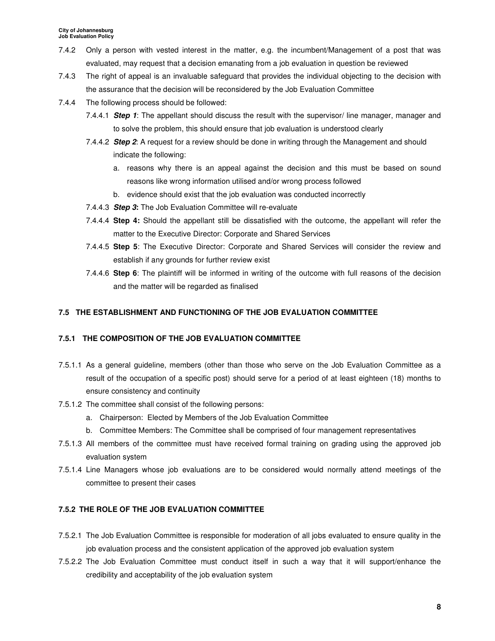- 7.4.2 Only a person with vested interest in the matter, e.g. the incumbent/Management of a post that was evaluated, may request that a decision emanating from a job evaluation in question be reviewed
- 7.4.3 The right of appeal is an invaluable safeguard that provides the individual objecting to the decision with the assurance that the decision will be reconsidered by the Job Evaluation Committee
- 7.4.4 The following process should be followed:
	- 7.4.4.1 **Step 1**: The appellant should discuss the result with the supervisor/ line manager, manager and to solve the problem, this should ensure that job evaluation is understood clearly
	- 7.4.4.2 **Step 2**: A request for a review should be done in writing through the Management and should indicate the following:
		- a. reasons why there is an appeal against the decision and this must be based on sound reasons like wrong information utilised and/or wrong process followed
		- b. evidence should exist that the job evaluation was conducted incorrectly
	- 7.4.4.3 **Step 3:** The Job Evaluation Committee will re-evaluate
	- 7.4.4.4 **Step 4:** Should the appellant still be dissatisfied with the outcome, the appellant will refer the matter to the Executive Director: Corporate and Shared Services
	- 7.4.4.5 **Step 5**: The Executive Director: Corporate and Shared Services will consider the review and establish if any grounds for further review exist
	- 7.4.4.6 **Step 6**: The plaintiff will be informed in writing of the outcome with full reasons of the decision and the matter will be regarded as finalised

# **7.5 THE ESTABLISHMENT AND FUNCTIONING OF THE JOB EVALUATION COMMITTEE**

# **7.5.1 THE COMPOSITION OF THE JOB EVALUATION COMMITTEE**

- 7.5.1.1 As a general guideline, members (other than those who serve on the Job Evaluation Committee as a result of the occupation of a specific post) should serve for a period of at least eighteen (18) months to ensure consistency and continuity
- 7.5.1.2 The committee shall consist of the following persons:
	- a. Chairperson: Elected by Members of the Job Evaluation Committee
	- b. Committee Members: The Committee shall be comprised of four management representatives
- 7.5.1.3 All members of the committee must have received formal training on grading using the approved job evaluation system
- 7.5.1.4 Line Managers whose job evaluations are to be considered would normally attend meetings of the committee to present their cases

# **7.5.2 THE ROLE OF THE JOB EVALUATION COMMITTEE**

- 7.5.2.1 The Job Evaluation Committee is responsible for moderation of all jobs evaluated to ensure quality in the job evaluation process and the consistent application of the approved job evaluation system
- 7.5.2.2 The Job Evaluation Committee must conduct itself in such a way that it will support/enhance the credibility and acceptability of the job evaluation system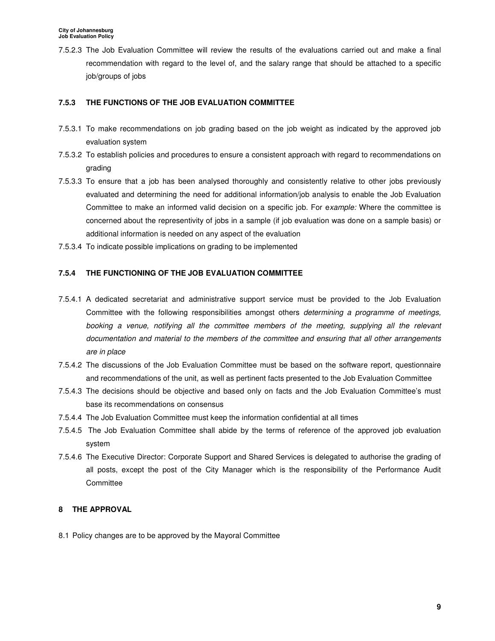7.5.2.3 The Job Evaluation Committee will review the results of the evaluations carried out and make a final recommendation with regard to the level of, and the salary range that should be attached to a specific job/groups of jobs

### **7.5.3 THE FUNCTIONS OF THE JOB EVALUATION COMMITTEE**

- 7.5.3.1 To make recommendations on job grading based on the job weight as indicated by the approved job evaluation system
- 7.5.3.2 To establish policies and procedures to ensure a consistent approach with regard to recommendations on grading
- 7.5.3.3 To ensure that a job has been analysed thoroughly and consistently relative to other jobs previously evaluated and determining the need for additional information/job analysis to enable the Job Evaluation Committee to make an informed valid decision on a specific job. For example: Where the committee is concerned about the representivity of jobs in a sample (if job evaluation was done on a sample basis) or additional information is needed on any aspect of the evaluation
- 7.5.3.4 To indicate possible implications on grading to be implemented

#### **7.5.4 THE FUNCTIONING OF THE JOB EVALUATION COMMITTEE**

- 7.5.4.1 A dedicated secretariat and administrative support service must be provided to the Job Evaluation Committee with the following responsibilities amongst others determining a programme of meetings, booking a venue, notifying all the committee members of the meeting, supplying all the relevant documentation and material to the members of the committee and ensuring that all other arrangements are in place
- 7.5.4.2 The discussions of the Job Evaluation Committee must be based on the software report, questionnaire and recommendations of the unit, as well as pertinent facts presented to the Job Evaluation Committee
- 7.5.4.3 The decisions should be objective and based only on facts and the Job Evaluation Committee's must base its recommendations on consensus
- 7.5.4.4 The Job Evaluation Committee must keep the information confidential at all times
- 7.5.4.5 The Job Evaluation Committee shall abide by the terms of reference of the approved job evaluation system
- 7.5.4.6 The Executive Director: Corporate Support and Shared Services is delegated to authorise the grading of all posts, except the post of the City Manager which is the responsibility of the Performance Audit **Committee**

#### **8 THE APPROVAL**

8.1 Policy changes are to be approved by the Mayoral Committee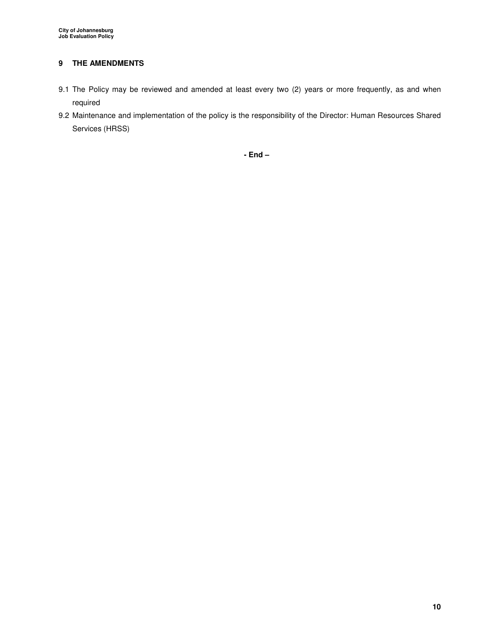## **9 THE AMENDMENTS**

- 9.1 The Policy may be reviewed and amended at least every two (2) years or more frequently, as and when required
- 9.2 Maintenance and implementation of the policy is the responsibility of the Director: Human Resources Shared Services (HRSS)

**- End –**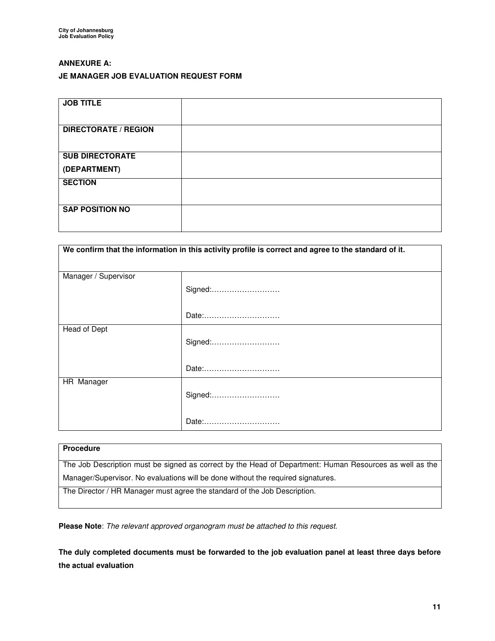## **ANNEXURE A:**

### **JE MANAGER JOB EVALUATION REQUEST FORM**

| <b>JOB TITLE</b>            |  |
|-----------------------------|--|
| <b>DIRECTORATE / REGION</b> |  |
| <b>SUB DIRECTORATE</b>      |  |
| (DEPARTMENT)                |  |
| <b>SECTION</b>              |  |
| <b>SAP POSITION NO</b>      |  |

| We confirm that the information in this activity profile is correct and agree to the standard of it. |         |  |
|------------------------------------------------------------------------------------------------------|---------|--|
| Manager / Supervisor                                                                                 | Signed: |  |
|                                                                                                      | Date:   |  |
| Head of Dept                                                                                         | Signed: |  |
|                                                                                                      | Date:   |  |
| HR Manager                                                                                           | Signed: |  |
|                                                                                                      | Date:   |  |

## **Procedure**

The Job Description must be signed as correct by the Head of Department: Human Resources as well as the Manager/Supervisor. No evaluations will be done without the required signatures.

The Director / HR Manager must agree the standard of the Job Description.

**Please Note**: The relevant approved organogram must be attached to this request.

**The duly completed documents must be forwarded to the job evaluation panel at least three days before the actual evaluation**